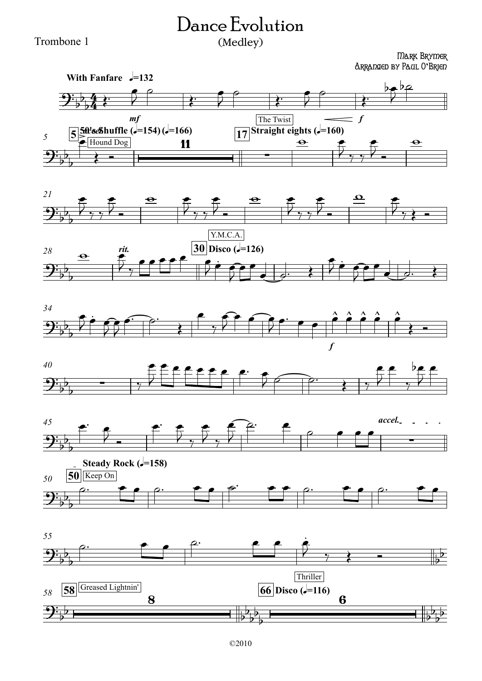## Dance Evolution (Medley)

## Trombone 1

## Mark Brymer Arranged by Paul O**'**Brien











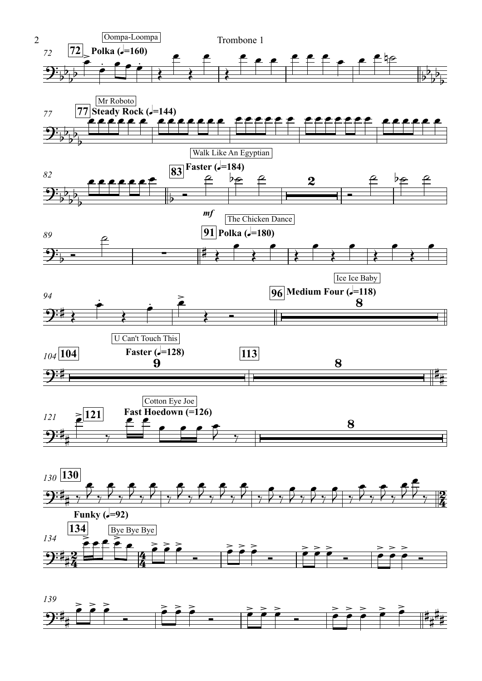